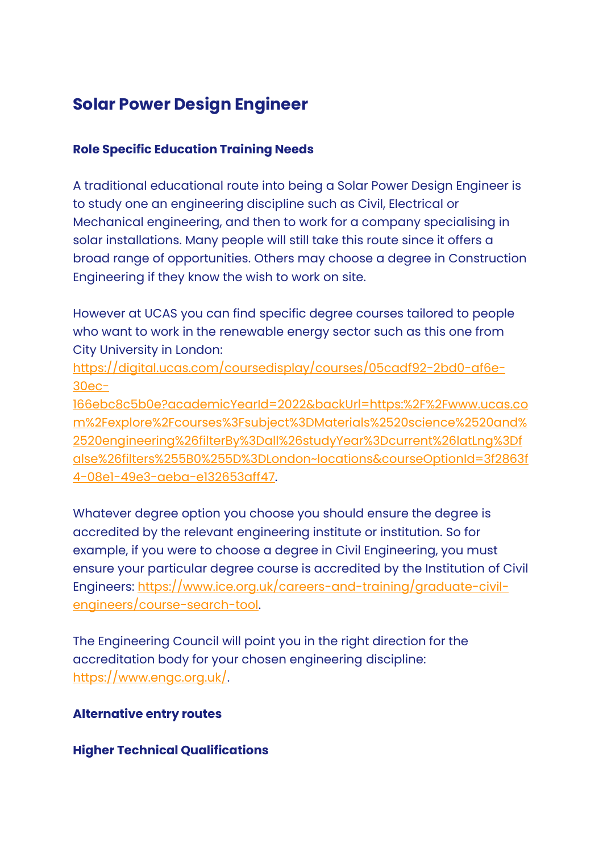# **Solar Power Design Engineer**

### **Role Specific Education Training Needs**

A traditional educational route into being a Solar Power Design Engineer is to study one an engineering discipline such as Civil, Electrical or Mechanical engineering, and then to work for a company specialising in solar installations. Many people will still take this route since it offers a broad range of opportunities. Others may choose a degree in Construction Engineering if they know the wish to work on site.

However at UCAS you can find specific degree courses tailored to people who want to work in the renewable energy sector such as this one from City University in London:

[https://digital.ucas.com/coursedisplay/courses/05cadf92-2bd0-af6e-](https://digital.ucas.com/coursedisplay/courses/05cadf92-2bd0-af6e-30ec-166ebc8c5b0e?academicYearId=2022&backUrl=https:%2F%2Fwww.ucas.com%2Fexplore%2Fcourses%3Fsubject%3DMaterials%2520science%2520and%2520engineering%26filterBy%3Dall%26studyYear%3Dcurrent%26latLng%3Dfalse%26filters%255B0%255D%3DLondon~locations&courseOptionId=3f2863f4-08e1-49e3-aeba-e132653aff47)[30ec-](https://digital.ucas.com/coursedisplay/courses/05cadf92-2bd0-af6e-30ec-166ebc8c5b0e?academicYearId=2022&backUrl=https:%2F%2Fwww.ucas.com%2Fexplore%2Fcourses%3Fsubject%3DMaterials%2520science%2520and%2520engineering%26filterBy%3Dall%26studyYear%3Dcurrent%26latLng%3Dfalse%26filters%255B0%255D%3DLondon~locations&courseOptionId=3f2863f4-08e1-49e3-aeba-e132653aff47)

[166ebc8c5b0e?academicYearId=2022&backUrl=https:%2F%2Fwww.ucas.co](https://digital.ucas.com/coursedisplay/courses/05cadf92-2bd0-af6e-30ec-166ebc8c5b0e?academicYearId=2022&backUrl=https:%2F%2Fwww.ucas.com%2Fexplore%2Fcourses%3Fsubject%3DMaterials%2520science%2520and%2520engineering%26filterBy%3Dall%26studyYear%3Dcurrent%26latLng%3Dfalse%26filters%255B0%255D%3DLondon~locations&courseOptionId=3f2863f4-08e1-49e3-aeba-e132653aff47) [m%2Fexplore%2Fcourses%3Fsubject%3DMaterials%2520science%2520and%](https://digital.ucas.com/coursedisplay/courses/05cadf92-2bd0-af6e-30ec-166ebc8c5b0e?academicYearId=2022&backUrl=https:%2F%2Fwww.ucas.com%2Fexplore%2Fcourses%3Fsubject%3DMaterials%2520science%2520and%2520engineering%26filterBy%3Dall%26studyYear%3Dcurrent%26latLng%3Dfalse%26filters%255B0%255D%3DLondon~locations&courseOptionId=3f2863f4-08e1-49e3-aeba-e132653aff47) [2520engineering%26filterBy%3Dall%26studyYear%3Dcurrent%26latLng%3Df](https://digital.ucas.com/coursedisplay/courses/05cadf92-2bd0-af6e-30ec-166ebc8c5b0e?academicYearId=2022&backUrl=https:%2F%2Fwww.ucas.com%2Fexplore%2Fcourses%3Fsubject%3DMaterials%2520science%2520and%2520engineering%26filterBy%3Dall%26studyYear%3Dcurrent%26latLng%3Dfalse%26filters%255B0%255D%3DLondon~locations&courseOptionId=3f2863f4-08e1-49e3-aeba-e132653aff47) [alse%26filters%255B0%255D%3DLondon~locations&courseOptionId=3f2863f](https://digital.ucas.com/coursedisplay/courses/05cadf92-2bd0-af6e-30ec-166ebc8c5b0e?academicYearId=2022&backUrl=https:%2F%2Fwww.ucas.com%2Fexplore%2Fcourses%3Fsubject%3DMaterials%2520science%2520and%2520engineering%26filterBy%3Dall%26studyYear%3Dcurrent%26latLng%3Dfalse%26filters%255B0%255D%3DLondon~locations&courseOptionId=3f2863f4-08e1-49e3-aeba-e132653aff47) [4-08e1-49e3-aeba-e132653aff47.](https://digital.ucas.com/coursedisplay/courses/05cadf92-2bd0-af6e-30ec-166ebc8c5b0e?academicYearId=2022&backUrl=https:%2F%2Fwww.ucas.com%2Fexplore%2Fcourses%3Fsubject%3DMaterials%2520science%2520and%2520engineering%26filterBy%3Dall%26studyYear%3Dcurrent%26latLng%3Dfalse%26filters%255B0%255D%3DLondon~locations&courseOptionId=3f2863f4-08e1-49e3-aeba-e132653aff47)

Whatever degree option you choose you should ensure the degree is accredited by the relevant engineering institute or institution. So for example, if you were to choose a degree in Civil Engineering, you must ensure your particular degree course is accredited by the Institution of Civil Engineers: [https://www.ice.org.uk/careers-and-training/graduate-civil](https://www.ice.org.uk/careers-and-training/graduate-civil-engineers/course-search-tool)[engineers/course-search-tool.](https://www.ice.org.uk/careers-and-training/graduate-civil-engineers/course-search-tool)

The Engineering Council will point you in the right direction for the accreditation body for your chosen engineering discipline: [https://www.engc.org.uk/.](https://www.engc.org.uk/)

## **Alternative entry routes**

#### **Higher Technical Qualifications**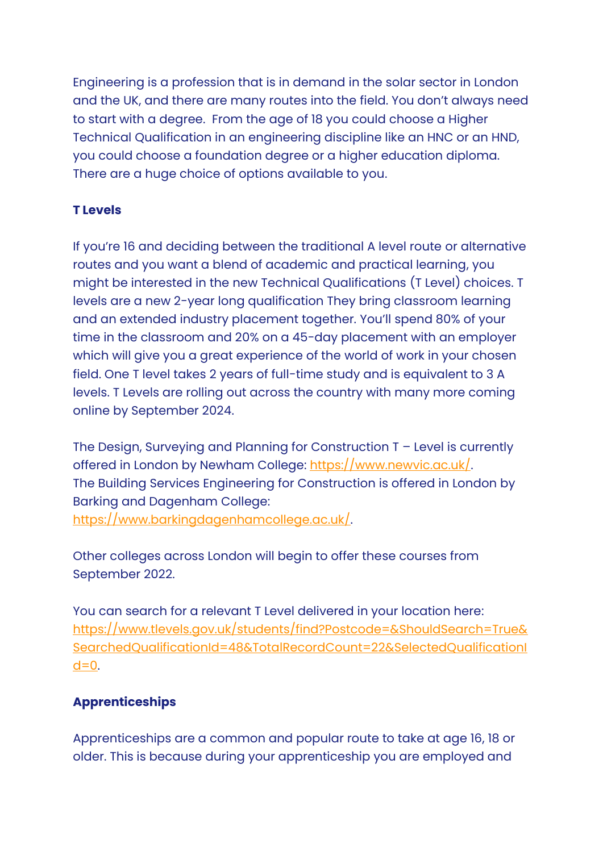Engineering is a profession that is in demand in the solar sector in London and the UK, and there are many routes into the field. You don't always need to start with a degree. From the age of 18 you could choose a Higher Technical Qualification in an engineering discipline like an HNC or an HND, you could choose a foundation degree or a higher education diploma. There are a huge choice of options available to you.

## **T Levels**

If you're 16 and deciding between the traditional A level route or alternative routes and you want a blend of academic and practical learning, you might be interested in the new Technical Qualifications (T Level) choices. T levels are a new 2-year long qualification They bring classroom learning and an extended industry placement together. You'll spend 80% of your time in the classroom and 20% on a 45-day placement with an employer which will give you a great experience of the world of work in your chosen field. One T level takes 2 years of full-time study and is equivalent to 3 A levels. T Levels are rolling out across the country with many more coming online by September 2024.

The Design, Surveying and Planning for Construction T – Level is currently offered in London by Newham College: [https://www.newvic.ac.uk/.](https://www.newvic.ac.uk/) The Building Services Engineering for Construction is offered in London by Barking and Dagenham College: [https://www.barkingdagenhamcollege.ac.uk/.](https://www.barkingdagenhamcollege.ac.uk/)

Other colleges across London will begin to offer these courses from September 2022.

You can search for a relevant T Level delivered in your location here: [https://www.tlevels.gov.uk/students/find?Postcode=&ShouldSearch=True&](https://www.tlevels.gov.uk/students/find?Postcode=&ShouldSearch=True&SearchedQualificationId=48&TotalRecordCount=22&SelectedQualificationId=0) [SearchedQualificationId=48&TotalRecordCount=22&SelectedQualificationI](https://www.tlevels.gov.uk/students/find?Postcode=&ShouldSearch=True&SearchedQualificationId=48&TotalRecordCount=22&SelectedQualificationId=0)  $d=0$ .

# **Apprenticeships**

Apprenticeships are a common and popular route to take at age 16, 18 or older. This is because during your apprenticeship you are employed and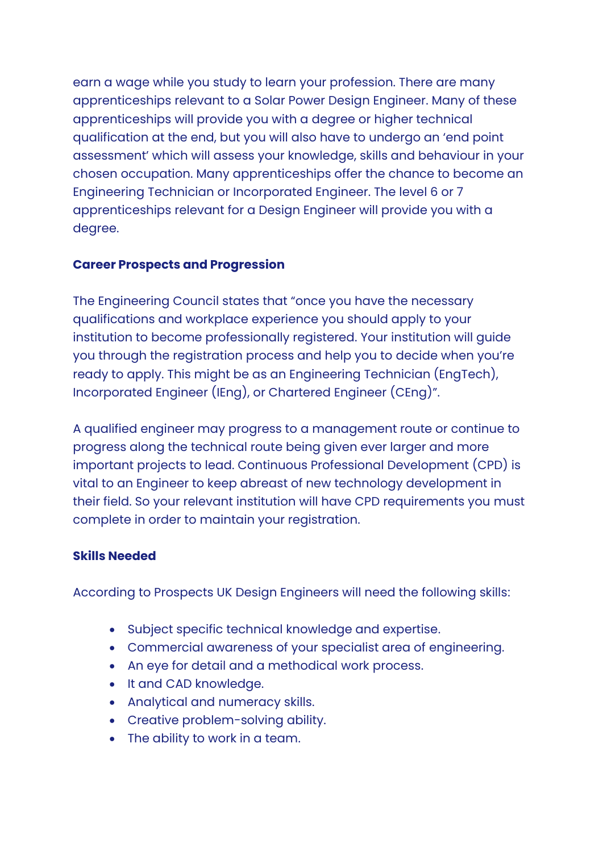earn a wage while you study to learn your profession. There are many apprenticeships relevant to a Solar Power Design Engineer. Many of these apprenticeships will provide you with a degree or higher technical qualification at the end, but you will also have to undergo an 'end point assessment' which will assess your knowledge, skills and behaviour in your chosen occupation. Many apprenticeships offer the chance to become an Engineering Technician or Incorporated Engineer. The level 6 or 7 apprenticeships relevant for a Design Engineer will provide you with a degree.

### **Career Prospects and Progression**

The Engineering Council states that "once you have the necessary qualifications and workplace experience you should apply to your institution to become professionally registered. Your institution will guide you through the registration process and help you to decide when you're ready to apply. This might be as an Engineering Technician (EngTech), Incorporated Engineer (IEng), or Chartered Engineer (CEng)".

A qualified engineer may progress to a management route or continue to progress along the technical route being given ever larger and more important projects to lead. Continuous Professional Development (CPD) is vital to an Engineer to keep abreast of new technology development in their field. So your relevant institution will have CPD requirements you must complete in order to maintain your registration.

#### **Skills Needed**

According to Prospects UK Design Engineers will need the following skills:

- Subject specific technical knowledge and expertise.
- Commercial awareness of your specialist area of engineering.
- An eye for detail and a methodical work process.
- It and CAD knowledge.
- Analytical and numeracy skills.
- Creative problem-solving ability.
- The ability to work in a team.